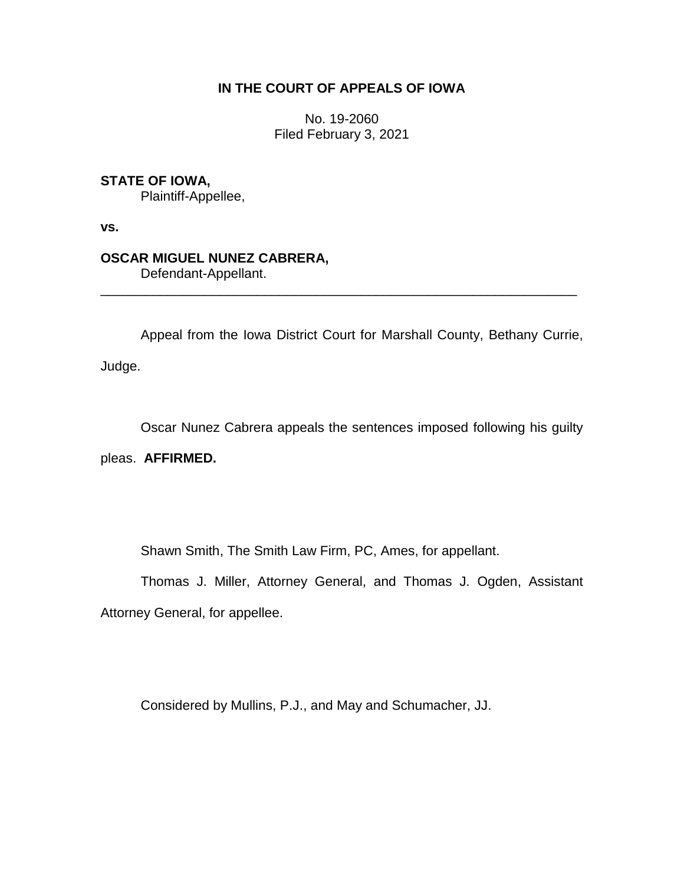# **IN THE COURT OF APPEALS OF IOWA**

No. 19-2060 Filed February 3, 2021

## **STATE OF IOWA,**

Plaintiff-Appellee,

**vs.**

## **OSCAR MIGUEL NUNEZ CABRERA,**

Defendant-Appellant.

Appeal from the Iowa District Court for Marshall County, Bethany Currie,

\_\_\_\_\_\_\_\_\_\_\_\_\_\_\_\_\_\_\_\_\_\_\_\_\_\_\_\_\_\_\_\_\_\_\_\_\_\_\_\_\_\_\_\_\_\_\_\_\_\_\_\_\_\_\_\_\_\_\_\_\_\_\_\_

Judge.

Oscar Nunez Cabrera appeals the sentences imposed following his guilty

pleas. **AFFIRMED.**

Shawn Smith, The Smith Law Firm, PC, Ames, for appellant.

Thomas J. Miller, Attorney General, and Thomas J. Ogden, Assistant Attorney General, for appellee.

Considered by Mullins, P.J., and May and Schumacher, JJ.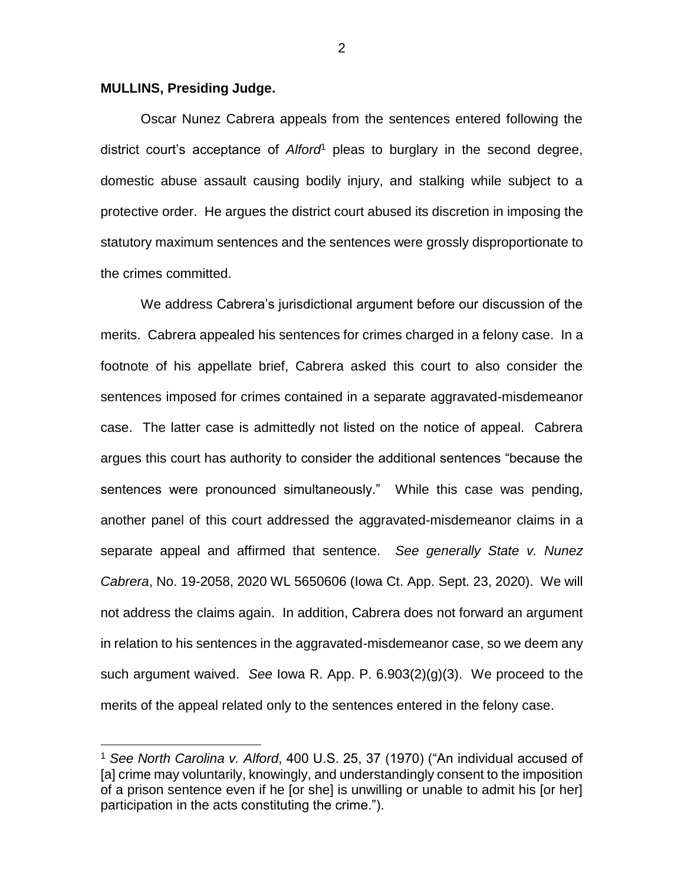#### **MULLINS, Presiding Judge.**

 $\overline{a}$ 

Oscar Nunez Cabrera appeals from the sentences entered following the district court's acceptance of *Alford*<sup>1</sup> pleas to burglary in the second degree, domestic abuse assault causing bodily injury, and stalking while subject to a protective order. He argues the district court abused its discretion in imposing the statutory maximum sentences and the sentences were grossly disproportionate to the crimes committed.

We address Cabrera's jurisdictional argument before our discussion of the merits. Cabrera appealed his sentences for crimes charged in a felony case. In a footnote of his appellate brief, Cabrera asked this court to also consider the sentences imposed for crimes contained in a separate aggravated-misdemeanor case. The latter case is admittedly not listed on the notice of appeal. Cabrera argues this court has authority to consider the additional sentences "because the sentences were pronounced simultaneously." While this case was pending, another panel of this court addressed the aggravated-misdemeanor claims in a separate appeal and affirmed that sentence. *See generally State v. Nunez Cabrera*, No. 19-2058, 2020 WL 5650606 (Iowa Ct. App. Sept. 23, 2020). We will not address the claims again. In addition, Cabrera does not forward an argument in relation to his sentences in the aggravated-misdemeanor case, so we deem any such argument waived. *See* Iowa R. App. P. 6.903(2)(g)(3). We proceed to the merits of the appeal related only to the sentences entered in the felony case.

2

<sup>1</sup> *See North Carolina v. Alford*, 400 U.S. 25, 37 (1970) ("An individual accused of [a] crime may voluntarily, knowingly, and understandingly consent to the imposition of a prison sentence even if he [or she] is unwilling or unable to admit his [or her] participation in the acts constituting the crime.").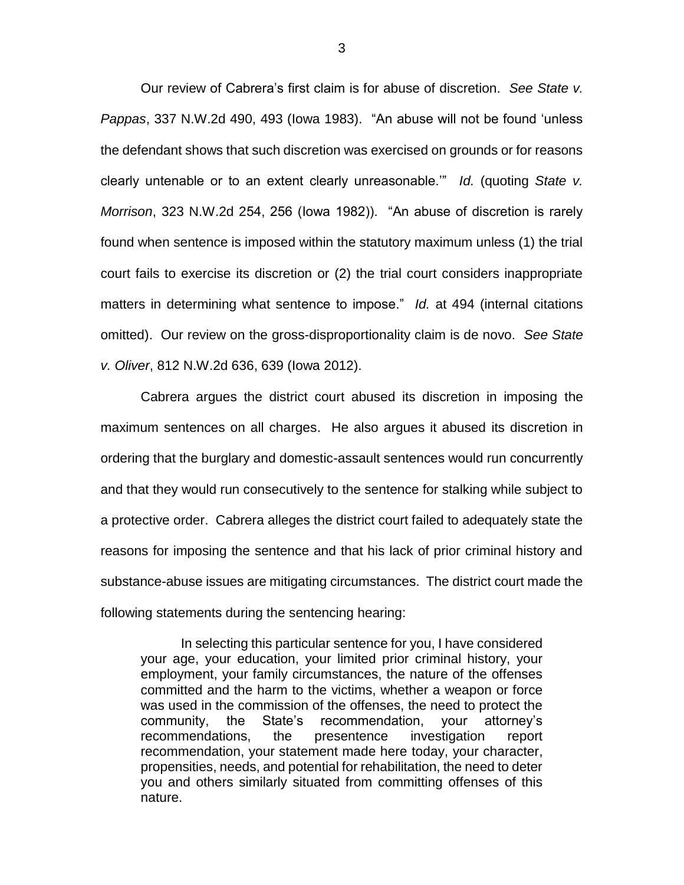Our review of Cabrera's first claim is for abuse of discretion. *See State v. Pappas*, 337 N.W.2d 490, 493 (Iowa 1983). "An abuse will not be found 'unless the defendant shows that such discretion was exercised on grounds or for reasons clearly untenable or to an extent clearly unreasonable.'" *Id.* (quoting *State v. Morrison*, 323 N.W.2d 254, 256 (Iowa 1982)). "An abuse of discretion is rarely found when sentence is imposed within the statutory maximum unless (1) the trial court fails to exercise its discretion or (2) the trial court considers inappropriate matters in determining what sentence to impose." *Id.* at 494 (internal citations omitted). Our review on the gross-disproportionality claim is de novo. *See State v. Oliver*, 812 N.W.2d 636, 639 (Iowa 2012).

Cabrera argues the district court abused its discretion in imposing the maximum sentences on all charges. He also argues it abused its discretion in ordering that the burglary and domestic-assault sentences would run concurrently and that they would run consecutively to the sentence for stalking while subject to a protective order. Cabrera alleges the district court failed to adequately state the reasons for imposing the sentence and that his lack of prior criminal history and substance-abuse issues are mitigating circumstances. The district court made the following statements during the sentencing hearing:

In selecting this particular sentence for you, I have considered your age, your education, your limited prior criminal history, your employment, your family circumstances, the nature of the offenses committed and the harm to the victims, whether a weapon or force was used in the commission of the offenses, the need to protect the community, the State's recommendation, your attorney's recommendations, the presentence investigation report recommendation, your statement made here today, your character, propensities, needs, and potential for rehabilitation, the need to deter you and others similarly situated from committing offenses of this nature.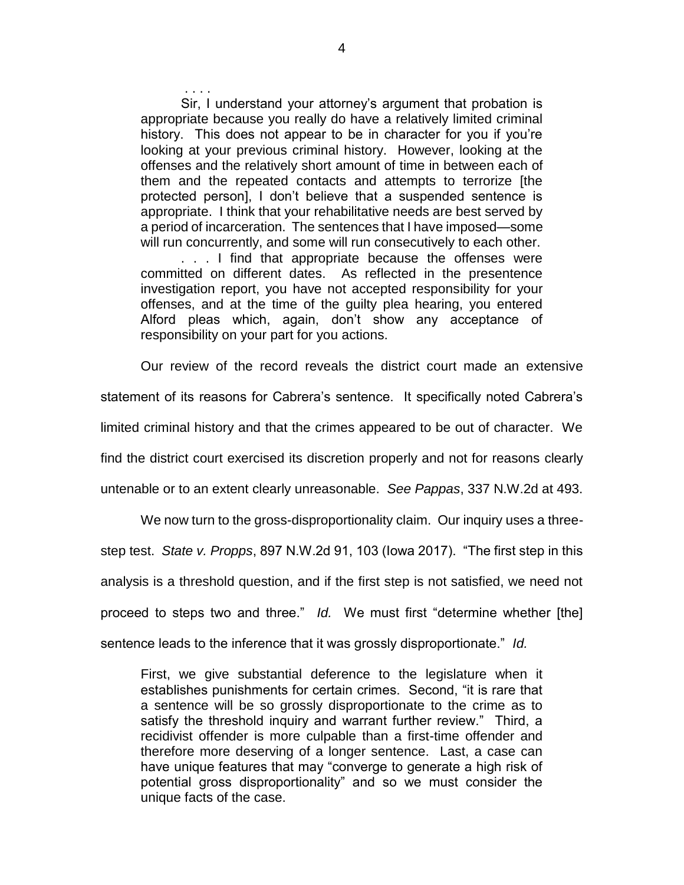. . . . Sir, I understand your attorney's argument that probation is appropriate because you really do have a relatively limited criminal history. This does not appear to be in character for you if you're looking at your previous criminal history. However, looking at the offenses and the relatively short amount of time in between each of them and the repeated contacts and attempts to terrorize [the protected person], I don't believe that a suspended sentence is appropriate. I think that your rehabilitative needs are best served by a period of incarceration. The sentences that I have imposed—some will run concurrently, and some will run consecutively to each other. . . . I find that appropriate because the offenses were committed on different dates. As reflected in the presentence investigation report, you have not accepted responsibility for your offenses, and at the time of the guilty plea hearing, you entered Alford pleas which, again, don't show any acceptance of responsibility on your part for you actions.

Our review of the record reveals the district court made an extensive statement of its reasons for Cabrera's sentence. It specifically noted Cabrera's limited criminal history and that the crimes appeared to be out of character. We find the district court exercised its discretion properly and not for reasons clearly untenable or to an extent clearly unreasonable. *See Pappas*, 337 N.W.2d at 493.

We now turn to the gross-disproportionality claim. Our inquiry uses a threestep test. *State v. Propps*, 897 N.W.2d 91, 103 (Iowa 2017). "The first step in this analysis is a threshold question, and if the first step is not satisfied, we need not proceed to steps two and three." *Id.* We must first "determine whether [the] sentence leads to the inference that it was grossly disproportionate." *Id.*

First, we give substantial deference to the legislature when it establishes punishments for certain crimes. Second, "it is rare that a sentence will be so grossly disproportionate to the crime as to satisfy the threshold inquiry and warrant further review." Third, a recidivist offender is more culpable than a first-time offender and therefore more deserving of a longer sentence. Last, a case can have unique features that may "converge to generate a high risk of potential gross disproportionality" and so we must consider the unique facts of the case.